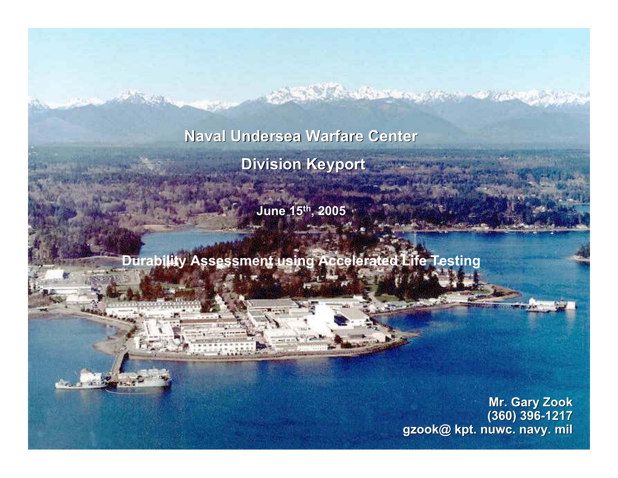**Naval Undersea Warfare Center Naval Undersea Warfare Center Division Keyport CONTRACTOR STATE** 

**SAME AND ALL AND AND ARTICLES** 

**June 15 June 15th, 2005**

**Durability Assessment using Accelerated Life Testing**

**Mr. Gary Zook Mr. Gary Zook (360) 396 (360) 396-1217 gzook@ kpt. nuwc. navy. mil gzook@ kpt. nuwc. navy. mil**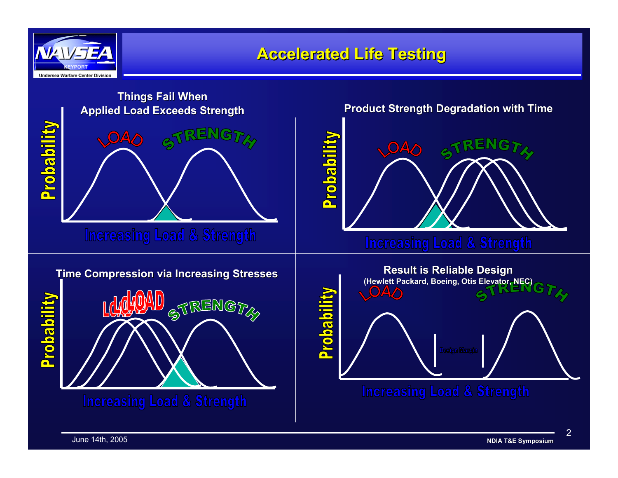

### **Accelerated Life Testing Accelerated Life Testing**

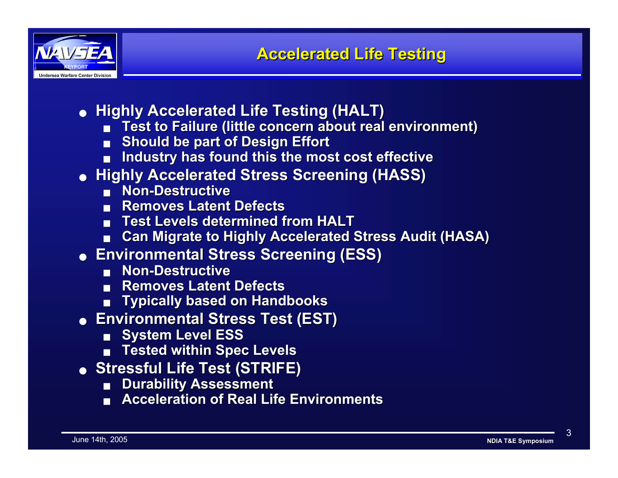

- **Highly Accelerated Life Testing (HALT) Highly Accelerated Life Testing (HALT)**
	- Test to Failure (little concern about real environment)
	- ■**Should be part of Design Effort Should be part of Design Effort**
	- ■**Industry has found this the most cost effective Industry has found this the most cost effective**
- **Highly Accelerated Stress Screening (HASS) Highly Accelerated Stress Screening (HASS)**
	- Non-Destructive
	- Removes Latent Defects
	- **Test Levels determined from HALT Test Levels determined from HALT**
	- ■**Can Migrate to Highly Accelerated Stress Audit (HASA) Can Migrate to Highly Accelerated Stress Audit (HASA)**
- **Environmental Stress Screening (ESS) Environmental Stress Screening (ESS)**
	- Non-Destructive
	- Removes Latent Defects
	- ■**Typically based on Handbooks Typically based on Handbooks**
- **Environmental Stress Test (EST) Environmental Stress Test (EST)**
	- ■**System Level ESS**
	- ■**Tested within Spec Levels Tested within Spec Levels**
- **Stressful Life Test (STRIFE) Stressful Life Test (STRIFE)**
	- ■**Durability Assessment Durability Assessment**
	- ■**Acceleration of Real Life Environments Acceleration of Real Life Environments**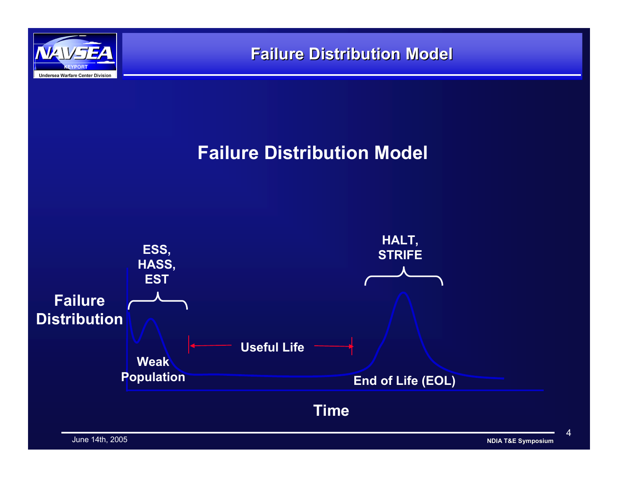

# **Failure Distribution Model**



 $\Delta$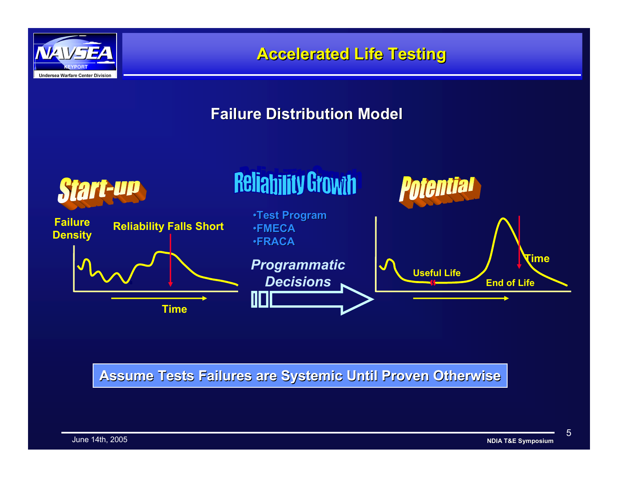

### **Failure Distribution Model Failure Distribution Model**



#### **Assume Tests Failures are Systemic Until Proven Otherwise Assume Tests Failures are Systemic Until Proven Otherwise**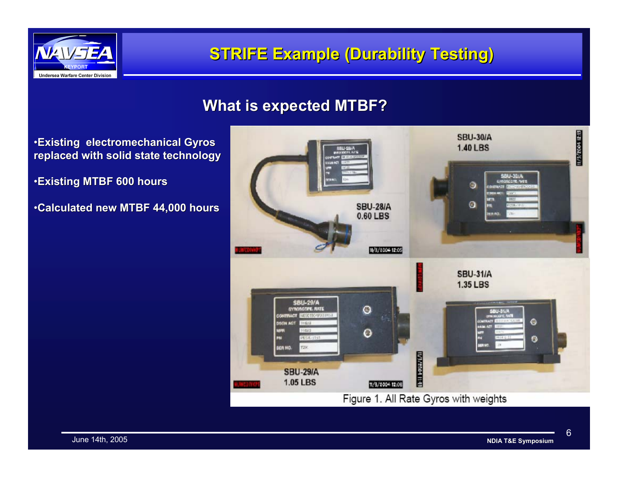

## **STRIFE Example (Durability Testing) STRIFE Example (Durability Testing)**

#### **What is expected MTBF? What is expected MTBF?**

- •**Existing electromechanical Gyros Existing electromechanical Gyros replaced with solid state technology state technology**
- •**Existing MTBF 600 hours Existing MTBF 600 hours**
- •**Calculated new MTBF 44,000 hours Calculated new MTBF 44,000 hours**

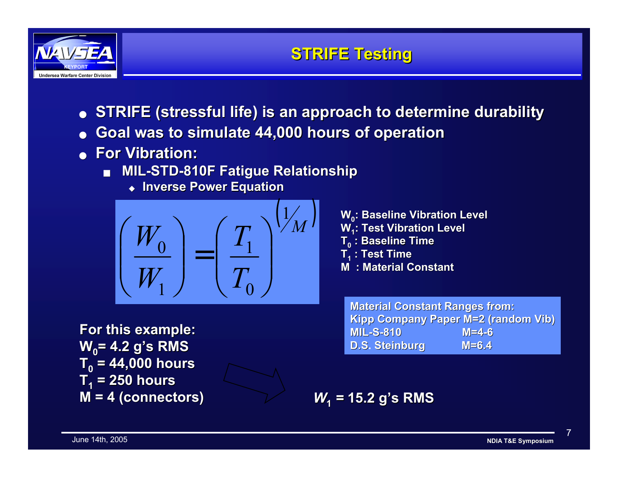

- **STRIFE (stressful life) is an ap STRIFE (stressful life) is an approach to determine durability proach to determine durability**
- ●**Goal was to simulate 44,000 hours of operation Goal was to simulate 44,000 hours of operation**
- **For Vibration: For Vibration:**
	- ■ **MIL-STD-810F Fatigue Relationship 810F Fatigue Relationship**
		- ◆ **Inverse Power Equation Inverse Power Equation**



**For this example: For this example: W0= 4.2 g's RMS = 4.2 g's RMS T0 = 44,000 hours = 44,000 hours T1 = 250 hours = 250 hours M = 4 (connectors) M = 4 (connectors)**



**Material Constant Ranges from: Kipp Company Paper M=2 (random Vib) MIL-S-810** M=4-6 **D.S.Steinburg M=6.4**

*W***1** *<sup>=</sup>***15.2 g's RMS 15.2 g's RMS**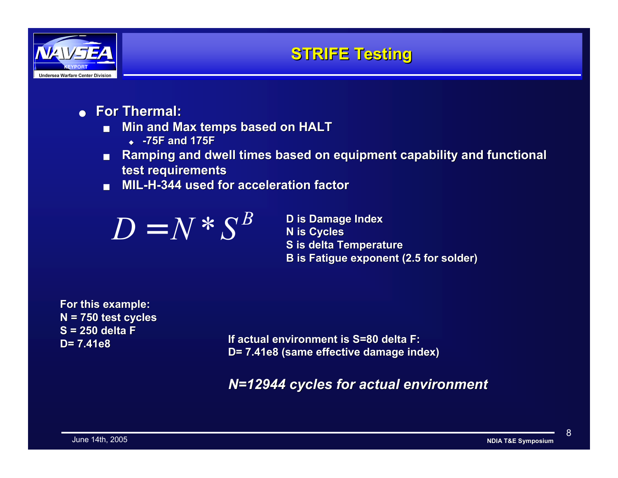

- **For Thermal: For Thermal:**
	- ■**Min and Max temps based on HALT** 
		- ◆ **-75F and 175F**
	- ■**Ramping and dwell times based on equipment capability and functional test requirements test requirements**
	- ■**MIL-H-344 used for acceleration factor 344 used for acceleration factor**



**S** is delta Temperature **B** is Fatigue exponent (2.5 for solder)

**For this example: For this example: N = 750 test cycles = 750 test cycles S = 250 delta FD= 7.41e8**

 **D= 7.41e8If actual environment is S=80 delta F: If actual environment is S=80 delta F: D= 7.41e8 (same eff D= 7.41e8 (same effective damage index) ective damage index)**

*N=12944 cycles for actual environment N=12944 cycles for environment*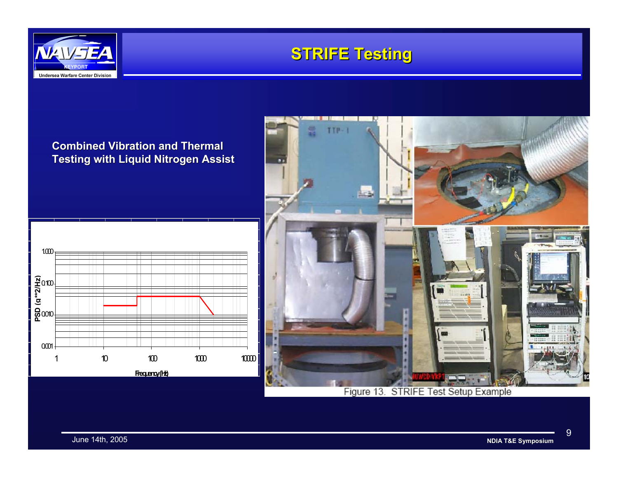





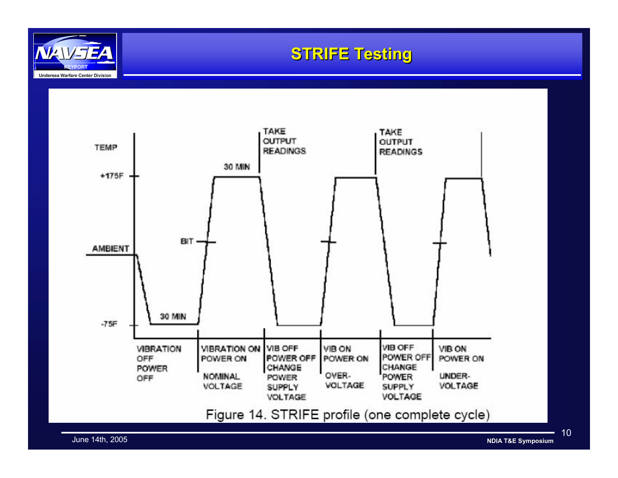

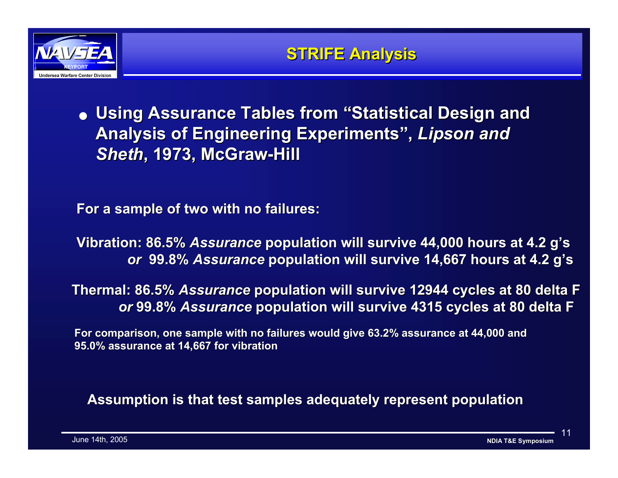

# $\bullet\,$  Using Assurance Tables from "Statistical Design and Analysis of Engineering Experiments", *Lipson and Sheth***, 1973, McGraw , 1973, McGraw-Hill**

**For a sample of two with no failures: For a sample of two with no failures:**

**Vibration: 86.5%** *Assurance* **population will survive 44,000 hours at 4.2 g's** *or* **99.8%** *Assurance Assurance* **population will survive 14,667 hours at 4.2 g's population will survive 14,667 hours at 4.2 g's**

**Thermal: 86.5% Assurance population will survive 12944 cycles at 80 delta F** *or* **99.8%** *Assurance* **population will survive 4315 cycles at 80 delta F population will survive 4315 cycles at 80 delta F**

**For comparison, one sample with no failures would give 63.2% assurance at 44,000 and 95.0% assurance at 14 95.0% assurance at 14,667 for vibration**

**Assumption is that test samples adequately represent population Assumption is that test samples adequately represent population**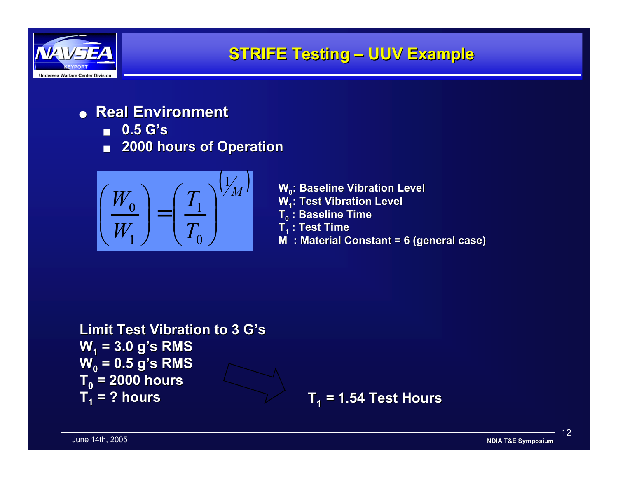

- **Real Environment Real Environment**
	- ■**0.5 G's 0.5 G's**
	- **2000 hours of Operation 2000 hours of Operation**



 $\left(\begin{array}{c} W_0 \ W_1 \end{array}\right)=\left(\begin{array}{c} T_1 \ T_0 \end{array}\right)^{\backslash\!\!{}^\prime\!{}^\prime\!{}^\prime\!{}^\prime} \qquad \begin{array}{c} \text{W}_0\text{: Baseline Vibration Level} \ \text{W}_1\text{: Test Vibration Level} \ \text{T}_0\text{: Baseline Time} \ \text{W}_1\text{: Test Time} \ \text{M}\text{: Material Constant = 6 (general case)} \end{array}$ 

```
Limit Test Vibration to 3 G's Limit Test Vibration to 3 G'sW1 = 3.0 g's RMS = 3.0 g's RMS
W0 = 0.5 g's RMS = 0.5 g's RMS
T0 = 2000 hours = 2000 hours 
T1 = ? hours = ? hours
```
**T1** *<sup>=</sup>***1.54 Test Hours 1.54 Test Hours**